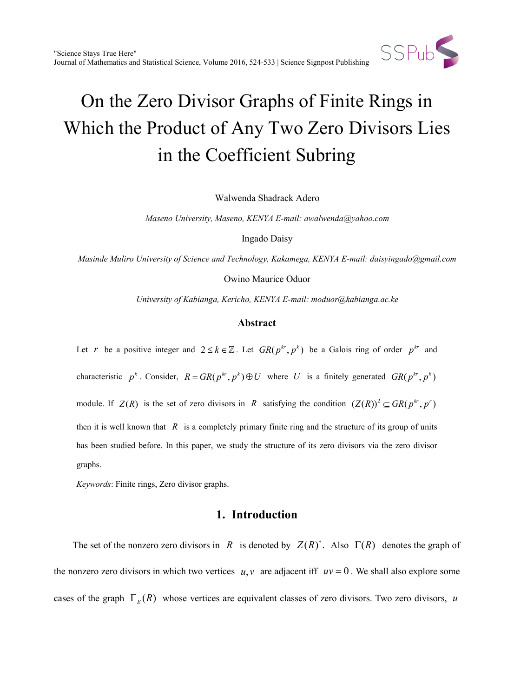

Walwenda Shadrack Adero

*Maseno University, Maseno, KENYA E-mail: awalwenda@yahoo.com*

Ingado Daisy

*Masinde Muliro University of Science and Technology, Kakamega, KENYA E-mail: daisyingado@gmail.com*

Owino Maurice Oduor

*University of Kabianga, Kericho, KENYA E-mail: moduor@kabianga.ac.ke*

### **Abstract**

Let *r* be a positive integer and  $2 \le k \in \mathbb{Z}$ . Let  $GR(p^{kr}, p^k)$  be a Galois ring of order  $p^{kr}$  and characteristic  $p^k$ . Consider,  $R = GR(p^{kr}, p^k) \oplus U$  where *U* is a finitely generated  $GR(p^{kr}, p^k)$ module. If  $Z(R)$  is the set of zero divisors in *R* satisfying the condition  $(Z(R))^2 \subseteq GR(p^{kr}, p^r)$ then it is well known that  $R$  is a completely primary finite ring and the structure of its group of units has been studied before. In this paper, we study the structure of its zero divisors via the zero divisor graphs.

*Keywords*: Finite rings, Zero divisor graphs.

# **1. Introduction**

The set of the nonzero zero divisors in *R* is denoted by  $Z(R)^*$ . Also  $\Gamma(R)$  denotes the graph of the nonzero zero divisors in which two vertices  $u, v$  are adjacent iff  $uv = 0$ . We shall also explore some cases of the graph  $\Gamma_F(R)$  whose vertices are equivalent classes of zero divisors. Two zero divisors, *u*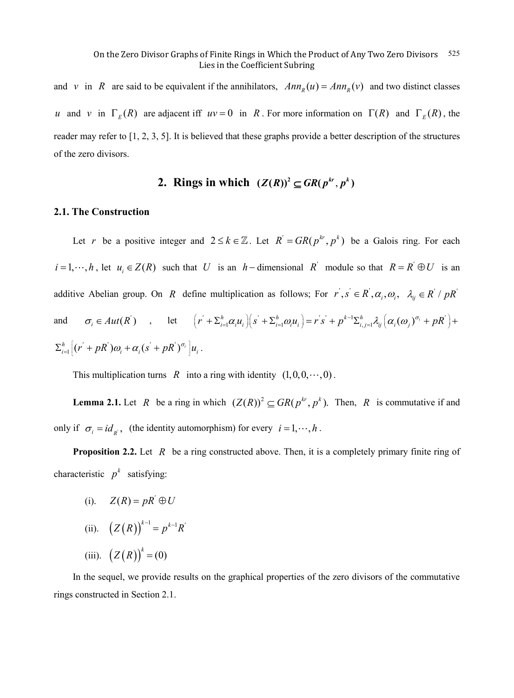and *v* in *R* are said to be equivalent if the annihilators,  $Ann_n(u) = Ann_n(v)$  and two distinct classes *u* and *v* in  $\Gamma_F(R)$  are adjacent iff  $uv = 0$  in *R*. For more information on  $\Gamma(R)$  and  $\Gamma_F(R)$ , the reader may refer to [1, 2, 3, 5]. It is believed that these graphs provide a better description of the structures of the zero divisors.

# **2. Rings in which**  $(Z(R))^2 \subseteq \mathbb{G}R(p^{kr}, p^k)$

## **2.1. The Construction**

Let *r* be a positive integer and  $2 \le k \in \mathbb{Z}$ . Let  $R' = GR(p^{kr}, p^k)$  be a Galois ring. For each  $i = 1, \dots, h$ , let  $u_i \in Z(R)$  such that *U* is an *h* − dimensional *R*<sup>′</sup> module so that  $R = R' \oplus U$  is an additive Abelian group. On *R* define multiplication as follows; For  $r, s' \in R', \alpha_i, \alpha_j, \lambda_{ij} \in R' / pR'$ and  $\sigma_i \in Aut(R')$ , let  $\left[ r' + \sum_{i=1}^h \alpha_i u_i \right] \left( s' + \sum_{i=1}^h \omega_i u_i \right) = r' s' + p^{k-1} \sum_{i,j=1}^h \lambda_{ij} \left( \alpha_i (\omega_j)^{\sigma_i} + pR' \right) +$  $\int_{i=1}^h \left[ (r^{'}+pR^{'})\omega_{i} + \alpha_{i} (s^{'}+pR^{'})^{\sigma_{i}} \right] u_{i}$  $\Sigma_{i=1}^h \Bigl[ (r^{'} + pR^{'}) \omega_i + \alpha_i (s^{'} + pR^{'})^{\sigma_i} \Bigr] u_i$ .

This multiplication turns *R* into a ring with identity  $(1,0,0,\dots, 0)$ .

**Lemma 2.1.** Let *R* be a ring in which  $(Z(R))^2 \subseteq GR(p^{kr}, p^k)$ . Then, *R* is commutative if and only if  $\sigma_i = id_{R'}$ , (the identity automorphism) for every  $i = 1, \dots, h$ .

**Proposition 2.2.** Let *R* be a ring constructed above. Then, it is a completely primary finite ring of characteristic  $p^k$  satisfying:

- (i).  $Z(R) = pR^{'} \oplus U$
- (ii).  $(Z(R))^{k-1} = p^{k-1}R'$
- (iii).  $(Z(R))^{k} = (0)$

In the sequel, we provide results on the graphical properties of the zero divisors of the commutative rings constructed in Section 2.1.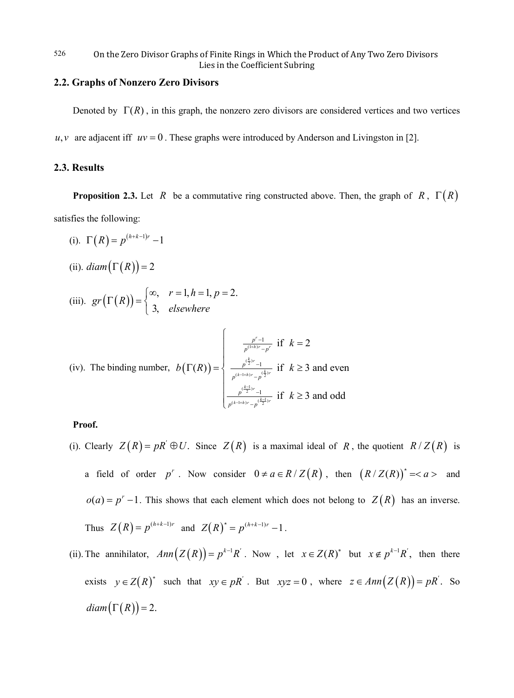# **2.2. Graphs of Nonzero Zero Divisors**

Denoted by  $\Gamma(R)$ , in this graph, the nonzero zero divisors are considered vertices and two vertices

 $u, v$  are adjacent iff  $uv = 0$ . These graphs were introduced by Anderson and Livingston in [2].

### **2.3. Results**

**Proposition 2.3.** Let *R* be a commutative ring constructed above. Then, the graph of *R*,  $\Gamma(R)$ satisfies the following:

- (i).  $\Gamma(R) = p^{(h+k-1)r} 1$
- (ii).  $diam(\Gamma(R)) = 2$

(iii). 
$$
gr(\Gamma(R)) = \begin{cases} \infty, & r = 1, h = 1, p = 2. \\ 3, & \text{elsewhere} \end{cases}
$$

(iv). The binding number, 
$$
b(\Gamma(R)) = \begin{cases} \frac{p^r - 1}{p^{(1+h)r} - p^r} & \text{if } k = 2\\ \frac{p^{\left(\frac{k}{2}\right)r} - 1}{p^{(k-1+h)r} - p^{\left(\frac{k}{2}\right)r}} & \text{if } k \ge 3 \text{ and even} \end{cases}
$$

# **Proof.**

- (i). Clearly  $Z(R) = pR' \oplus U$ . Since  $Z(R)$  is a maximal ideal of R, the quotient  $R/Z(R)$  is a field of order  $p^r$ . Now consider  $0 \neq a \in R/Z(R)$ , then  $(R/Z(R))^{*} = < a >$  and  $o(a) = p^{r} - 1$ . This shows that each element which does not belong to  $Z(R)$  has an inverse. Thus  $Z(R) = p^{(h+k-1)r}$  and  $Z(R)^* = p^{(h+k-1)r} - 1$ .
- (ii). The annihilator,  $Ann(Z(R)) = p^{k-1}R'$ . Now, let  $x \in Z(R)^*$  but  $x \notin p^{k-1}R'$ , then there exists  $y \in Z(R)^*$  such that  $xy \in pR'$ . But  $xyz = 0$ , where  $z \in Ann(Z(R)) = pR'$ . So  $diam(\Gamma(R)) = 2.$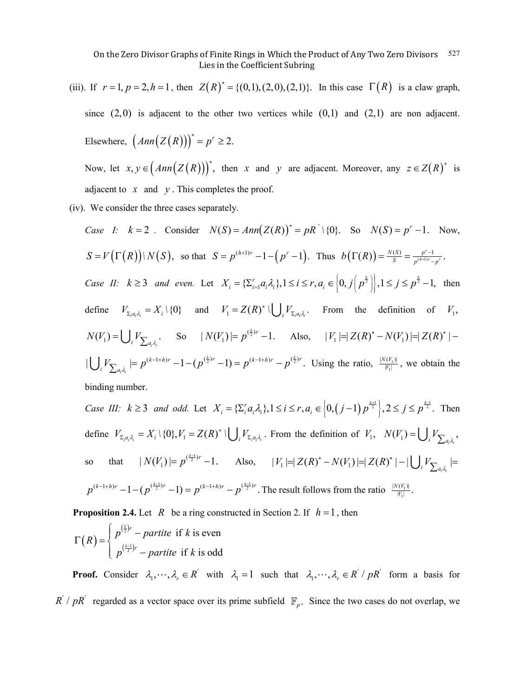(iii). If  $r = 1, p = 2, h = 1$ , then  $Z(R)^* = \{(0, 1), (2, 0), (2, 1)\}$ . In this case  $\Gamma(R)$  is a claw graph, since  $(2,0)$  is adjacent to the other two vertices while  $(0,1)$  and  $(2,1)$  are non adjacent. Elsewhere,  $\left( Ann(Z(R)) \right)^{*} = p^{r} \geq 2.$ Now, let  $x, y \in (Ann(Z(R)))^*$ , then *x* and *y* are adjacent. Moreover, any  $z \in Z(R)^*$  is

adjacent to  $x$  and  $y$ . This completes the proof.

(iv). We consider the three cases separately.

Case I: 
$$
k = 2
$$
. Consider  $N(S) = Ann(Z(R))^{*} = pR' \setminus \{0\}$ . So  $N(S) = p^{r} - 1$ . Now,  
\n $S = V(\Gamma(R)) \setminus N(S)$ , so that  $S = p^{(h+1)r} - 1 - (p^{r} - 1)$ . Thus  $b(\Gamma(R)) = \frac{N(S)}{S} = \frac{p^{r} - 1}{p^{(h+1)r} - p^{r}}$ .  
\nCase II:  $k \ge 3$  and even. Let  $X_i = \{\sum_{i=1}^{r} a_i \lambda_i\}$ ,  $1 \le i \le r$ ,  $a_i \in \{0, j(p^{\frac{k}{2}})\}$ ,  $1 \le j \le p^{\frac{k}{2}} - 1$ , then define  $V_{\sum_{i} a_i \lambda_i} = X_i \setminus \{0\}$  and  $V_1 = Z(R)^* \cup \bigcup_i V_{\sum_{i} a_i \lambda_i}$ . From the definition of  $V_1$ ,  
\n $N(V_1) = \bigcup_i V_{\sum_{i} a_i \lambda_i}$ . So  $|N(V_1)| = p^{(\frac{k}{2})r} - 1$ . Also,  $|V_1| = |Z(R)^* - N(V_1)| = |Z(R)^*| - 1$   
\n $\bigcup_i V_{\sum_{i} a_i \lambda_i} = p^{(k-1+h)r} - 1 - (p^{(\frac{k}{2})r} - 1) = p^{(k-1+h)r} - p^{(\frac{k}{2})r}$ . Using the ratio,  $\frac{|N(V_1)|}{|V_1|}$ , we obtain the binding number.

Case III: 
$$
k \ge 3
$$
 and odd. Let  $X_i = \{\sum_i a_i \lambda_i\}, 1 \le i \le r, a_i \in \{0, (j-1)p^{\frac{k+1}{2}}\}, 2 \le j \le p^{\frac{k-1}{2}}$ . Then  
define  $V_{\sum_i a_i \lambda_i} = X_i \setminus \{0\}, V_1 = Z(R)^* \cup \bigcup_i V_{\sum_i a_i \lambda_i}$ . From the definition of  $V_1$ ,  $N(V_1) = \bigcup_i V_{\sum_{a_i \lambda_i}}$ ,  
so that  $|N(V_1)| = p^{\frac{k-1}{2}r} - 1$ . Also,  $|V_1| = |Z(R)^* - N(V_1)| = |Z(R)^*| - |\bigcup_i V_{\sum_{a_i \lambda_i}}| =$   
 $p^{(k-1+h)r} - 1 - (p^{\frac{k-1}{2})r} - 1) = p^{(k-1+h)r} - p^{\frac{k-1}{2}r}$ . The result follows from the ratio  $\frac{|N(V_1)|}{|V_1|}$ .

**Proposition 2.4.** Let *R* be a ring constructed in Section 2. If  $h = 1$ , then

$$
\Gamma(R) = \begin{cases} p^{\left(\frac{k}{2}\right)r} - partite & \text{if } k \text{ is even} \\ p^{\left(\frac{k-1}{2}\right)r} - partite & \text{if } k \text{ is odd} \end{cases}
$$

**Proof.** Consider  $\lambda_1, \dots, \lambda_r \in R'$  with  $\lambda_1 = 1$  such that  $\lambda_1, \dots, \lambda_r \in R' / pR'$  form a basis for  $R' / pR'$  regarded as a vector space over its prime subfield  $\mathbb{F}_p$ . Since the two cases do not overlap, we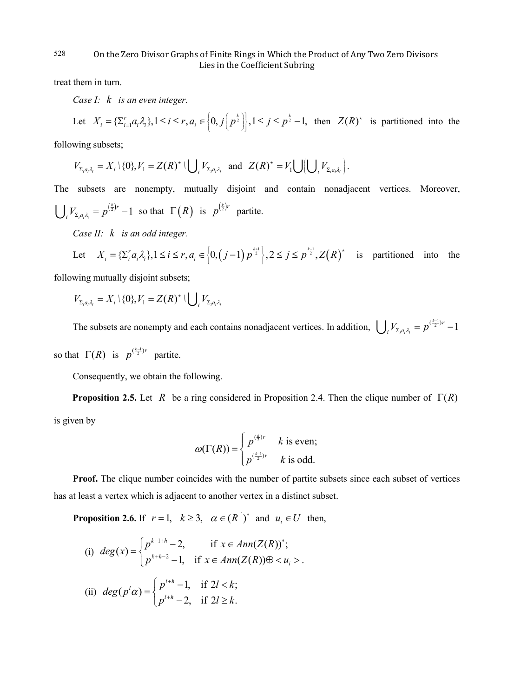treat them in turn.

*Case I: k is an even integer.*

Let 
$$
X_i = {\sum_{i=1}^r a_i \lambda_i}, 1 \le i \le r, a_i \in \left\{0, j\left(p^{\frac{k}{2}}\right)\right\}, 1 \le j \le p^{\frac{k}{2}} - 1
$$
, then  $Z(R)^*$  is partitioned into the

following subsets;

$$
V_{\Sigma_i a_i \lambda_i} = X_i \setminus \{0\}, V_1 = Z(R)^* \setminus \bigcup_i V_{\Sigma_i a_i \lambda_i} \text{ and } Z(R)^* = V_1 \bigcup \bigcup_i V_{\Sigma_i a_i \lambda_i} \bigg).
$$

The subsets are nonempty, mutually disjoint and contain nonadjacent vertices. Moreover,  $_{a_i a_i} = p^{(\frac{k}{2})r} - 1$ *r*  $\bigcup_i V_{\Sigma_i a_i \lambda_i} = p^{(\frac{k}{2})r} - 1$  so that  $\Gamma(R)$  is  $p^{(\frac{k}{2})r}$  partite.

*Case II: k is an odd integer.*

Let 
$$
X_i = {\sum_i a_i \lambda_i}, 1 \le i \le r, a_i \in \left\{0, (j-1)p^{\frac{k+1}{2}}\right\}, 2 \le j \le p^{\frac{k-1}{2}}, Z(R)^{\star}
$$
 is partitioned into the

following mutually disjoint subsets;

$$
V_{\Sigma_i a_i \lambda_i} = X_i \setminus \{0\}, V_1 = Z(R)^* \setminus \bigcup_i V_{\Sigma_i a_i \lambda_i}
$$

The subsets are nonempty and each contains nonadjacent vertices. In addition,  $\bigcup_i V_{\Sigma, a_i, \lambda_i} = p^{(\frac{k-1}{2})r} - 1$ *r*  $\bigcup_i V_{\Sigma_i a_i \lambda_i} = p^{(\frac{k-1}{2})r} -$ 

so that  $\Gamma(R)$  is  $p^{(\frac{k-1}{2})r}$  partite.

Consequently, we obtain the following.

**Proposition 2.5.** Let *R* be a ring considered in Proposition 2.4. Then the clique number of  $\Gamma(R)$ is given by

$$
\omega(\Gamma(R)) = \begin{cases} p^{(\frac{k}{2})r} & k \text{ is even;} \\ p^{(\frac{k-1}{2})r} & k \text{ is odd.} \end{cases}
$$

**Proof.** The clique number coincides with the number of partite subsets since each subset of vertices has at least a vertex which is adjacent to another vertex in a distinct subset.

**Proposition 2.6.** If  $r = 1$ ,  $k \ge 3$ ,  $\alpha \in (R^{'})^*$  and  $u_i \in U$  then,

(i) 
$$
deg(x) = \begin{cases} p^{k-1+h} - 2, & \text{if } x \in Ann(Z(R))^{*}; \\ p^{k+h-2} - 1, & \text{if } x \in Ann(Z(R)) \oplus < u_{i} > . \end{cases}
$$
  
\n(ii)  $deg(p^{l}\alpha) = \begin{cases} p^{l+h} - 1, & \text{if } 2l < k; \\ p^{l+h} - 2, & \text{if } 2l \ge k. \end{cases}$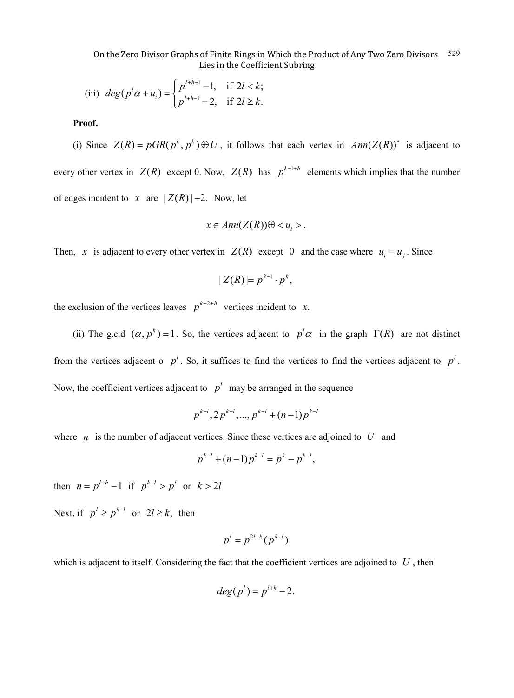(iii) 
$$
deg(p^l \alpha + u_i) = \begin{cases} p^{l+h-1} - 1, & \text{if } 2l < k; \\ p^{l+h-1} - 2, & \text{if } 2l \ge k. \end{cases}
$$

**Proof.**

(i) Since  $Z(R) = pGR(p^k, p^k) \oplus U$ , it follows that each vertex in  $Ann(Z(R))^*$  is adjacent to every other vertex in  $Z(R)$  except 0. Now,  $Z(R)$  has  $p^{k-1+h}$  elements which implies that the number of edges incident to *x* are  $|Z(R)|-2$ . Now, let

$$
x\in Ann(Z(R))\oplus .
$$

Then, *x* is adjacent to every other vertex in  $Z(R)$  except 0 and the case where  $u_i = u_j$ . Since

$$
|Z(R)|=p^{k-1}\cdot p^h,
$$

the exclusion of the vertices leaves  $p^{k-2+h}$  vertices incident to *x*.

(ii) The g.c.d  $(\alpha, p^k) = 1$ . So, the vertices adjacent to  $p^l \alpha$  in the graph  $\Gamma(R)$  are not distinct from the vertices adjacent o  $p^l$ . So, it suffices to find the vertices to find the vertices adjacent to  $p^l$ . Now, the coefficient vertices adjacent to  $p<sup>l</sup>$  may be arranged in the sequence

$$
p^{k-l}
$$
,  $2p^{k-l}$ , ...,  $p^{k-l} + (n-1)p^{k-l}$ 

where *n* is the number of adjacent vertices. Since these vertices are adjoined to *U* and

$$
p^{k-l} + (n-1)p^{k-l} = p^k - p^{k-l},
$$

then  $n = p^{l+h} - 1$  if  $p^{k-l} > p^l$  or  $k > 2l$ 

Next, if  $p^l \geq p^{k-l}$  or  $2l \geq k$ , then

$$
p^l=p^{2l-k}(p^{k-l})
$$

which is adjacent to itself. Considering the fact that the coefficient vertices are adjoined to *U* , then

$$
deg(p^l) = p^{l+h} - 2.
$$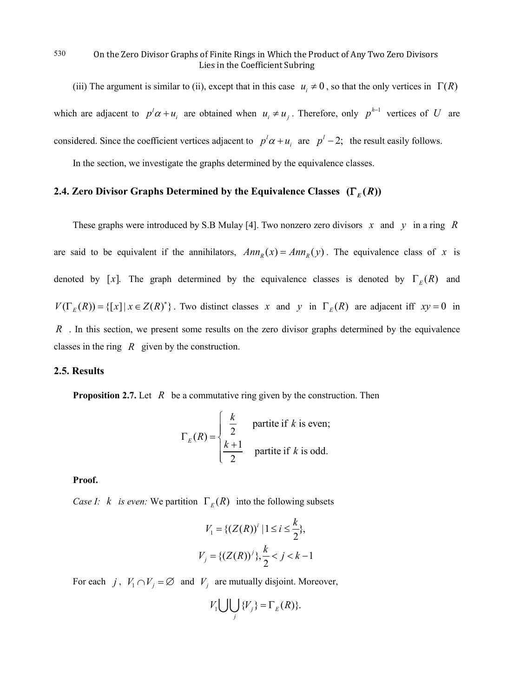(iii) The argument is similar to (ii), except that in this case  $u_i \neq 0$ , so that the only vertices in  $\Gamma(R)$ which are adjacent to  $p^l \alpha + u_i$  are obtained when  $u_i \neq u_j$ . Therefore, only  $p^{h-1}$  vertices of *U* are considered. Since the coefficient vertices adjacent to  $p^l \alpha + u_i$  are  $p^l - 2$ ; the result easily follows.

In the section, we investigate the graphs determined by the equivalence classes.

# **2.4. Zero Divisor Graphs Determined by the Equivalence Classes**  $(\Gamma_E(R))$

These graphs were introduced by S.B Mulay [4]. Two nonzero zero divisors *x* and *y* in a ring *R* are said to be equivalent if the annihilators,  $Ann<sub>R</sub>(x) = Ann<sub>R</sub>(y)$ . The equivalence class of *x* is denoted by [x]. The graph determined by the equivalence classes is denoted by  $\Gamma_E(R)$  and  $V(\Gamma_E(R)) = \{ [x] | x \in Z(R)^* \}$ . Two distinct classes x and y in  $\Gamma_E(R)$  are adjacent iff  $xy = 0$  in *R* . In this section, we present some results on the zero divisor graphs determined by the equivalence classes in the ring *R* given by the construction.

### **2.5. Results**

**Proposition 2.7.** Let *R* be a commutative ring given by the construction. Then

$$
\Gamma_E(R) = \begin{cases} \frac{k}{2} & \text{partite if } k \text{ is even;}\\ \frac{k+1}{2} & \text{partite if } k \text{ is odd.} \end{cases}
$$

**Proof.**

*Case I: k is even:* We partition  $\Gamma_E(R)$  into the following subsets

$$
V_1 = \{ (Z(R))^{i} \mid 1 \le i \le \frac{k}{2} \},
$$
  

$$
V_j = \{ (Z(R))^{j} \}, \frac{k}{2} < j < k - 1
$$

For each *j*,  $V_1 \cap V_j = \emptyset$  and  $V_j$  are mutually disjoint. Moreover,

$$
V_1 \bigcup \bigcup_j \{V_j\} = \Gamma_E(R)\}.
$$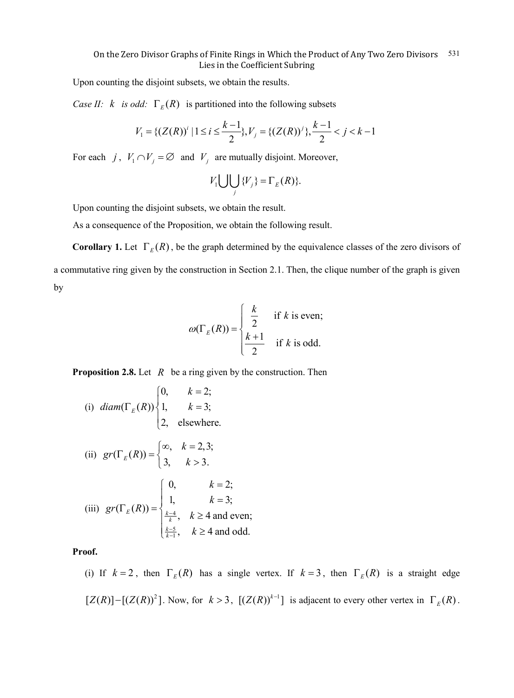Upon counting the disjoint subsets, we obtain the results.

*Case II:*  $k$  *is odd:*  $\Gamma_E(R)$  is partitioned into the following subsets

$$
V_1 = \{ (Z(R))^{i} \mid 1 \le i \le \frac{k-1}{2} \}, V_j = \{ (Z(R))^{j} \}, \frac{k-1}{2} < j < k-1
$$

For each *j*,  $V_1 \cap V_j = \emptyset$  and  $V_j$  are mutually disjoint. Moreover,

$$
V_1 \bigcup \bigcup_j \{V_j\} = \Gamma_E(R)\}.
$$

Upon counting the disjoint subsets, we obtain the result.

As a consequence of the Proposition, we obtain the following result.

**Corollary 1.** Let  $\Gamma_E(R)$ , be the graph determined by the equivalence classes of the zero divisors of a commutative ring given by the construction in Section 2.1. Then, the clique number of the graph is given by

$$
\omega(\Gamma_E(R)) = \begin{cases} \frac{k}{2} & \text{if } k \text{ is even;} \\ \frac{k+1}{2} & \text{if } k \text{ is odd.} \end{cases}
$$

**Proposition 2.8.** Let *R* be a ring given by the construction. Then

(i) diam
$$
(\Gamma_E(R))
$$

$$
\begin{cases}\n0, & k = 2; \\
1, & k = 3;\n\end{cases}
$$
\n(ii)  $gr(\Gamma_E(R)) = \begin{cases}\n\infty, & k = 2, 3;\n\end{cases}$   
\n(iii)  $gr(\Gamma_E(R)) = \begin{cases}\n0, & k = 2;\n1, & k = 3;\n\frac{k-4}{k}, & k \ge 4 \text{ and even};\n\frac{k-5}{k-1}, & k \ge 4 \text{ and odd}.\n\end{cases}$ 

**Proof.**

(i) If  $k = 2$ , then  $\Gamma_E(R)$  has a single vertex. If  $k = 3$ , then  $\Gamma_E(R)$  is a straight edge  $[Z(R)] - [(Z(R))^2]$ . Now, for  $k > 3$ ,  $[(Z(R))^{k-1}]$  is adjacent to every other vertex in  $\Gamma_E(R)$ .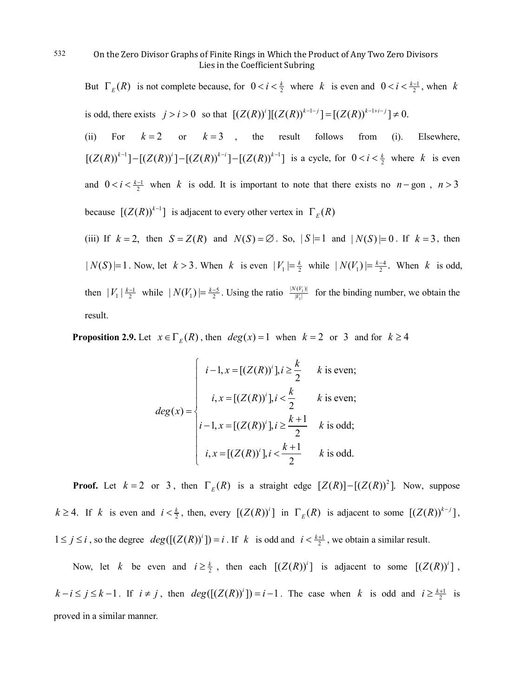But  $\Gamma_E(R)$  is not complete because, for  $0 < i < \frac{k}{2}$  where *k* is even and  $0 < i < \frac{k-1}{2}$ , when *k* is odd, there exists  $j > i > 0$  so that  $[(Z(R))^{i}][(Z(R))^{k-1-j}] = [(Z(R))^{k-1+i-j}] \neq 0$ .

(ii) For  $k=2$  or  $k=3$ , the result follows from (i). Elsewhere,  $[(Z(R))^{k-1}] - [(Z(R))^{i}] - [(Z(R))^{k-i}] - [(Z(R))^{k-1}]$  is a cycle, for  $0 < i < \frac{k}{2}$  where *k* is even and  $0 < i < \frac{k-1}{2}$  when *k* is odd. It is important to note that there exists no *n* − gon, *n* > 3 because  $[(Z(R))^{k-1}]$  is adjacent to every other vertex in  $\Gamma_E(R)$ 

(iii) If  $k = 2$ , then  $S = Z(R)$  and  $N(S) = \emptyset$ . So,  $|S| = 1$  and  $|N(S)| = 0$ . If  $k = 3$ , then  $|N(S)|=1$ . Now, let  $k > 3$ . When  $k$  is even  $|V_1| = \frac{k}{2}$  while  $|N(V_1)| = \frac{k-4}{2}$ . When  $k$  is odd, then  $|V_1| \frac{k-1}{2}$  while  $|N(V_1)| = \frac{k-5}{2}$ . Using the ratio  $\frac{|N(V_1)|}{|V_1|}$  $|N(V_1)|$  $|V_1|$  $\frac{N(V_1)|}{|V_1|}$  for the binding number, we obtain the result.

**Proposition 2.9.** Let  $x \in \Gamma_E(R)$ , then  $deg(x) = 1$  when  $k = 2$  or 3 and for  $k \ge 4$ 

$$
deg(x) = \begin{cases} i - 1, x = [(Z(R))^{i}], i \geq \frac{k}{2} & k \text{ is even;} \\ i, x = [(Z(R))^{i}], i < \frac{k}{2} & k \text{ is even;} \\ i - 1, x = [(Z(R))^{i}], i \geq \frac{k+1}{2} & k \text{ is odd;} \\ i, x = [(Z(R))^{i}], i < \frac{k+1}{2} & k \text{ is odd.} \end{cases}
$$

**Proof.** Let  $k = 2$  or 3, then  $\Gamma_E(R)$  is a straight edge  $[Z(R)] - [(Z(R))^2]$ . Now, suppose  $k \ge 4$ . If *k* is even and  $i < \frac{k}{2}$ , then, every  $[(Z(R))^i]$  in  $\Gamma_E(R)$  is adjacent to some  $[(Z(R))^{k-j}]$ ,  $1 \le j \le i$ , so the degree  $deg([Z(R))^i]) = i$ . If *k* is odd and  $i < \frac{k+1}{2}$ , we obtain a similar result.

Now, let *k* be even and  $i \geq \frac{k}{2}$ , then each  $[(Z(R))^{i}]$  is adjacent to some  $[(Z(R))^{i}]$ ,  $k - i \le j \le k - 1$ . If  $i \ne j$ , then  $deg([Z(R))^i]) = i - 1$ . The case when *k* is odd and  $i \ge \frac{k+1}{2}$  is proved in a similar manner.